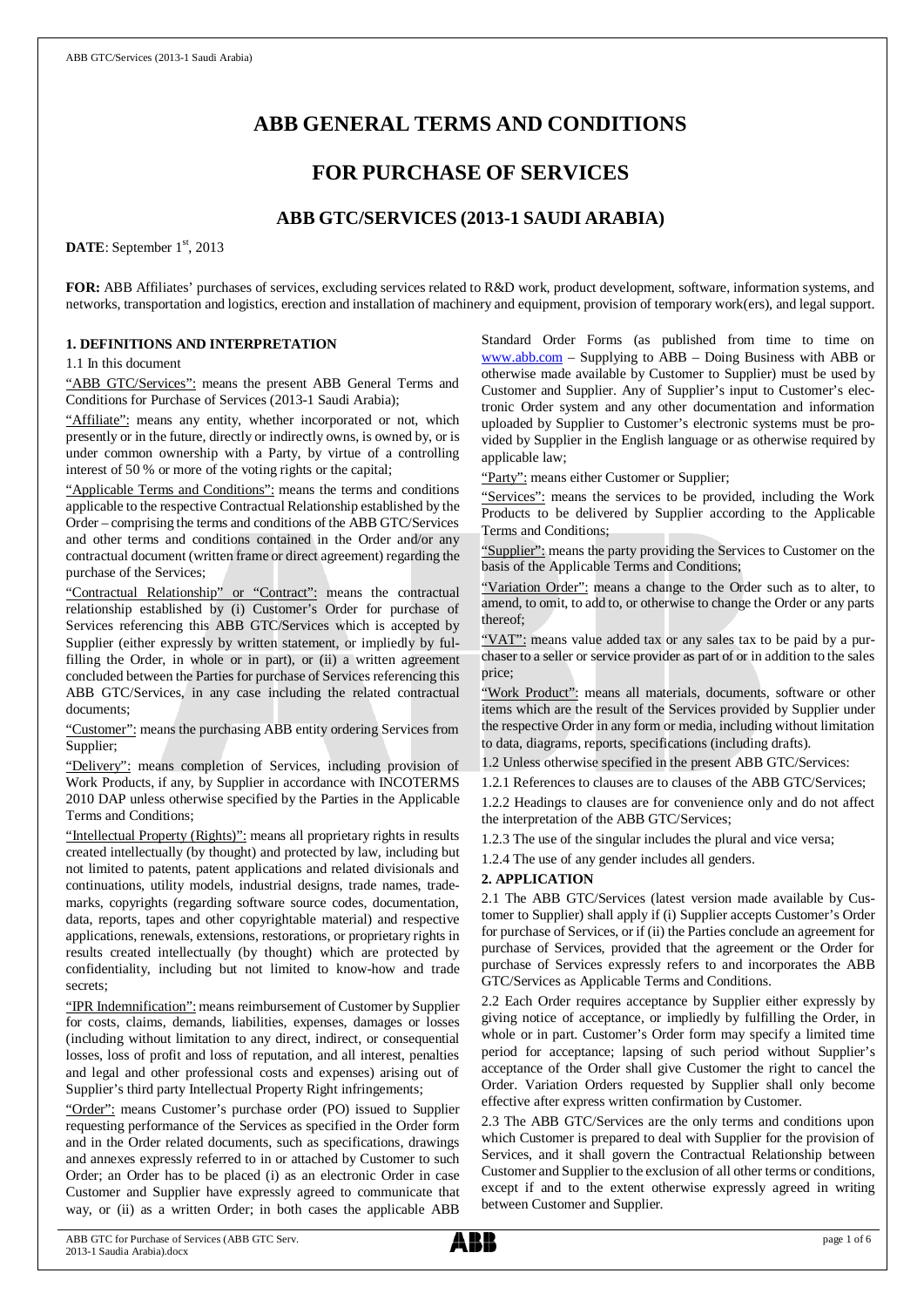# **ABB GENERAL TERMS AND CONDITIONS**

# **FOR PURCHASE OF SERVICES**

## **ABB GTC/SERVICES (2013-1 SAUDI ARABIA)**

DATE: September 1<sup>st</sup>, 2013

**FOR:** ABB Affiliates' purchases of services, excluding services related to R&D work, product development, software, information systems, and networks, transportation and logistics, erection and installation of machinery and equipment, provision of temporary work(ers), and legal support.

## **1. DEFINITIONS AND INTERPRETATION**

1.1 In this document

"ABB GTC/Services": means the present ABB General Terms and Conditions for Purchase of Services (2013-1 Saudi Arabia);

"Affiliate": means any entity, whether incorporated or not, which presently or in the future, directly or indirectly owns, is owned by, or is under common ownership with a Party, by virtue of a controlling interest of 50 % or more of the voting rights or the capital;

"Applicable Terms and Conditions": means the terms and conditions applicable to the respective Contractual Relationship established by the Order – comprising the terms and conditions of the ABB GTC/Services and other terms and conditions contained in the Order and/or any contractual document (written frame or direct agreement) regarding the purchase of the Services;

"Contractual Relationship" or "Contract": means the contractual relationship established by (i) Customer's Order for purchase of Services referencing this ABB GTC/Services which is accepted by Supplier (either expressly by written statement, or impliedly by fulfilling the Order, in whole or in part), or (ii) a written agreement concluded between the Parties for purchase of Services referencing this ABB GTC/Services, in any case including the related contractual documents;

"Customer": means the purchasing ABB entity ordering Services from Supplier;

"Delivery": means completion of Services, including provision of Work Products, if any, by Supplier in accordance with INCOTERMS 2010 DAP unless otherwise specified by the Parties in the Applicable Terms and Conditions;

"Intellectual Property (Rights)": means all proprietary rights in results created intellectually (by thought) and protected by law, including but not limited to patents, patent applications and related divisionals and continuations, utility models, industrial designs, trade names, trademarks, copyrights (regarding software source codes, documentation, data, reports, tapes and other copyrightable material) and respective applications, renewals, extensions, restorations, or proprietary rights in results created intellectually (by thought) which are protected by confidentiality, including but not limited to know-how and trade secrets;

"IPR Indemnification": means reimbursement of Customer by Supplier for costs, claims, demands, liabilities, expenses, damages or losses (including without limitation to any direct, indirect, or consequential losses, loss of profit and loss of reputation, and all interest, penalties and legal and other professional costs and expenses) arising out of Supplier's third party Intellectual Property Right infringements;

"Order": means Customer's purchase order (PO) issued to Supplier requesting performance of the Services as specified in the Order form and in the Order related documents, such as specifications, drawings and annexes expressly referred to in or attached by Customer to such Order; an Order has to be placed (i) as an electronic Order in case Customer and Supplier have expressly agreed to communicate that way, or (ii) as a written Order; in both cases the applicable ABB Standard Order Forms (as published from time to time on [www.abb.com](http://www.abb.com/) – Supplying to ABB – Doing Business with ABB or otherwise made available by Customer to Supplier) must be used by Customer and Supplier. Any of Supplier's input to Customer's electronic Order system and any other documentation and information uploaded by Supplier to Customer's electronic systems must be provided by Supplier in the English language or as otherwise required by applicable law;

"Party": means either Customer or Supplier;

"Services": means the services to be provided, including the Work Products to be delivered by Supplier according to the Applicable Terms and Conditions;

"Supplier": means the party providing the Services to Customer on the basis of the Applicable Terms and Conditions;

"Variation Order": means a change to the Order such as to alter, to amend, to omit, to add to, or otherwise to change the Order or any parts thereof;

"VAT": means value added tax or any sales tax to be paid by a purchaser to a seller or service provider as part of or in addition to the sales price;

"Work Product": means all materials, documents, software or other items which are the result of the Services provided by Supplier under the respective Order in any form or media, including without limitation to data, diagrams, reports, specifications (including drafts).

1.2 Unless otherwise specified in the present ABB GTC/Services:

1.2.1 References to clauses are to clauses of the ABB GTC/Services; 1.2.2 Headings to clauses are for convenience only and do not affect the interpretation of the ABB GTC/Services;

1.2.3 The use of the singular includes the plural and vice versa;

1.2.4 The use of any gender includes all genders.

#### **2. APPLICATION**

2.1 The ABB GTC/Services (latest version made available by Customer to Supplier) shall apply if (i) Supplier accepts Customer's Order for purchase of Services, or if (ii) the Parties conclude an agreement for purchase of Services, provided that the agreement or the Order for purchase of Services expressly refers to and incorporates the ABB GTC/Services as Applicable Terms and Conditions.

2.2 Each Order requires acceptance by Supplier either expressly by giving notice of acceptance, or impliedly by fulfilling the Order, in whole or in part. Customer's Order form may specify a limited time period for acceptance; lapsing of such period without Supplier's acceptance of the Order shall give Customer the right to cancel the Order. Variation Orders requested by Supplier shall only become effective after express written confirmation by Customer.

2.3 The ABB GTC/Services are the only terms and conditions upon which Customer is prepared to deal with Supplier for the provision of Services, and it shall govern the Contractual Relationship between Customer and Supplier to the exclusion of all other terms or conditions, except if and to the extent otherwise expressly agreed in writing between Customer and Supplier.

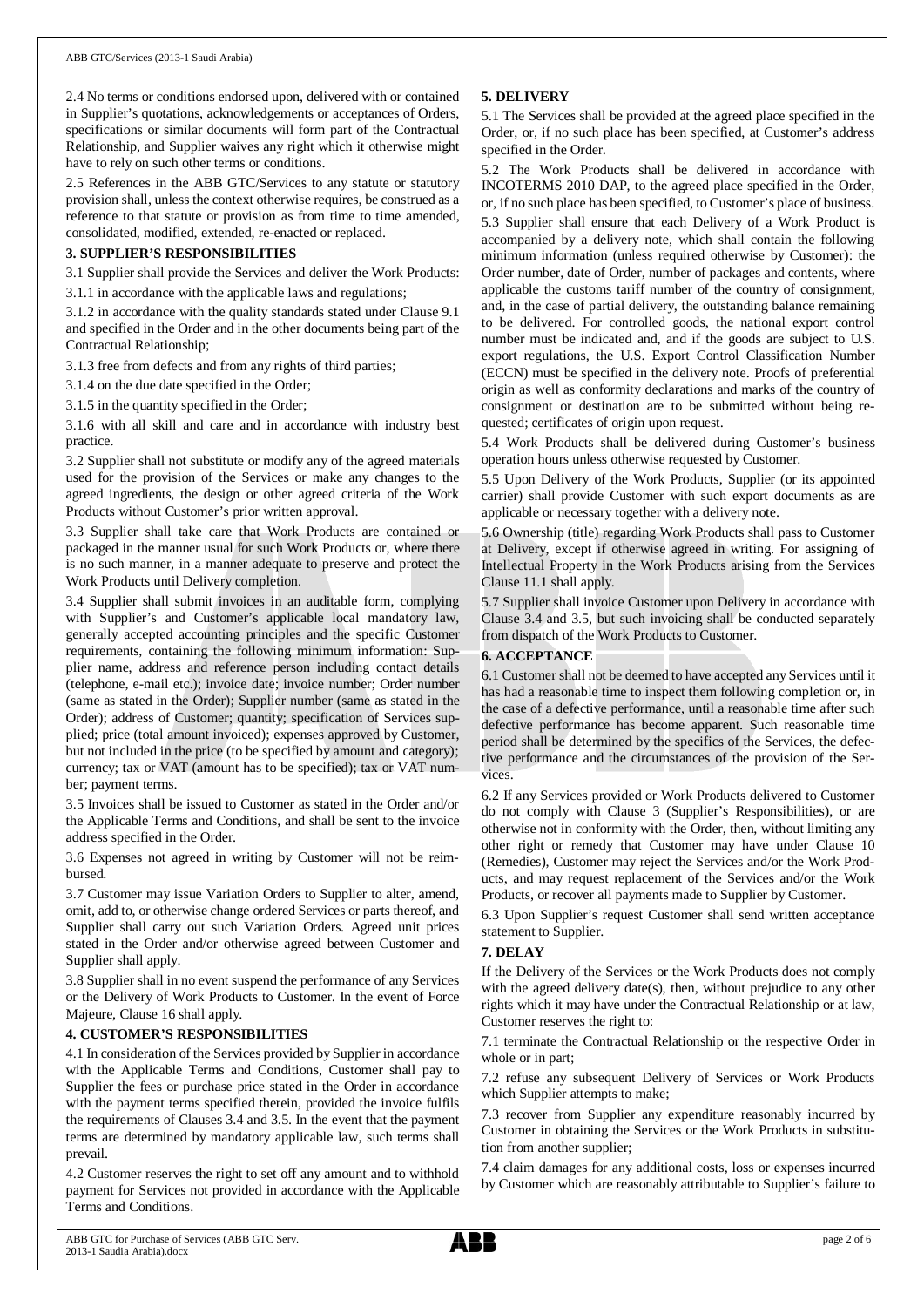2.4 No terms or conditions endorsed upon, delivered with or contained in Supplier's quotations, acknowledgements or acceptances of Orders, specifications or similar documents will form part of the Contractual Relationship, and Supplier waives any right which it otherwise might have to rely on such other terms or conditions.

2.5 References in the ABB GTC/Services to any statute or statutory provision shall, unless the context otherwise requires, be construed as a reference to that statute or provision as from time to time amended, consolidated, modified, extended, re-enacted or replaced.

### **3. SUPPLIER'S RESPONSIBILITIES**

3.1 Supplier shall provide the Services and deliver the Work Products: 3.1.1 in accordance with the applicable laws and regulations;

3.1.2 in accordance with the quality standards stated under Clause 9.1 and specified in the Order and in the other documents being part of the

3.1.3 free from defects and from any rights of third parties;

3.1.4 on the due date specified in the Order;

Contractual Relationship;

3.1.5 in the quantity specified in the Order;

3.1.6 with all skill and care and in accordance with industry best practice.

3.2 Supplier shall not substitute or modify any of the agreed materials used for the provision of the Services or make any changes to the agreed ingredients, the design or other agreed criteria of the Work Products without Customer's prior written approval.

3.3 Supplier shall take care that Work Products are contained or packaged in the manner usual for such Work Products or, where there is no such manner, in a manner adequate to preserve and protect the Work Products until Delivery completion.

3.4 Supplier shall submit invoices in an auditable form, complying with Supplier's and Customer's applicable local mandatory law, generally accepted accounting principles and the specific Customer requirements, containing the following minimum information: Supplier name, address and reference person including contact details (telephone, e-mail etc.); invoice date; invoice number; Order number (same as stated in the Order); Supplier number (same as stated in the Order); address of Customer; quantity; specification of Services supplied; price (total amount invoiced); expenses approved by Customer, but not included in the price (to be specified by amount and category); currency; tax or VAT (amount has to be specified); tax or VAT number; payment terms.

3.5 Invoices shall be issued to Customer as stated in the Order and/or the Applicable Terms and Conditions, and shall be sent to the invoice address specified in the Order.

3.6 Expenses not agreed in writing by Customer will not be reimbursed.

3.7 Customer may issue Variation Orders to Supplier to alter, amend, omit, add to, or otherwise change ordered Services or parts thereof, and Supplier shall carry out such Variation Orders. Agreed unit prices stated in the Order and/or otherwise agreed between Customer and Supplier shall apply.

3.8 Supplier shall in no event suspend the performance of any Services or the Delivery of Work Products to Customer. In the event of Force Majeure, Clause 16 shall apply.

## **4. CUSTOMER'S RESPONSIBILITIES**

4.1 In consideration of the Services provided by Supplier in accordance with the Applicable Terms and Conditions, Customer shall pay to Supplier the fees or purchase price stated in the Order in accordance with the payment terms specified therein, provided the invoice fulfils the requirements of Clauses 3.4 and 3.5. In the event that the payment terms are determined by mandatory applicable law, such terms shall prevail.

4.2 Customer reserves the right to set off any amount and to withhold payment for Services not provided in accordance with the Applicable Terms and Conditions.

## **5. DELIVERY**

5.1 The Services shall be provided at the agreed place specified in the Order, or, if no such place has been specified, at Customer's address specified in the Order.

5.2 The Work Products shall be delivered in accordance with INCOTERMS 2010 DAP, to the agreed place specified in the Order, or, if no such place has been specified, to Customer's place of business. 5.3 Supplier shall ensure that each Delivery of a Work Product is accompanied by a delivery note, which shall contain the following minimum information (unless required otherwise by Customer): the Order number, date of Order, number of packages and contents, where applicable the customs tariff number of the country of consignment, and, in the case of partial delivery, the outstanding balance remaining to be delivered. For controlled goods, the national export control number must be indicated and, and if the goods are subject to U.S. export regulations, the U.S. Export Control Classification Number (ECCN) must be specified in the delivery note. Proofs of preferential origin as well as conformity declarations and marks of the country of consignment or destination are to be submitted without being requested; certificates of origin upon request.

5.4 Work Products shall be delivered during Customer's business operation hours unless otherwise requested by Customer.

5.5 Upon Delivery of the Work Products, Supplier (or its appointed carrier) shall provide Customer with such export documents as are applicable or necessary together with a delivery note.

5.6 Ownership (title) regarding Work Products shall pass to Customer at Delivery, except if otherwise agreed in writing. For assigning of Intellectual Property in the Work Products arising from the Services Clause 11.1 shall apply.

5.7 Supplier shall invoice Customer upon Delivery in accordance with Clause 3.4 and 3.5, but such invoicing shall be conducted separately from dispatch of the Work Products to Customer.

## **6. ACCEPTANCE**

6.1 Customer shall not be deemed to have accepted any Services until it has had a reasonable time to inspect them following completion or, in the case of a defective performance, until a reasonable time after such defective performance has become apparent. Such reasonable time period shall be determined by the specifics of the Services, the defective performance and the circumstances of the provision of the Services.

6.2 If any Services provided or Work Products delivered to Customer do not comply with Clause 3 (Supplier's Responsibilities), or are otherwise not in conformity with the Order, then, without limiting any other right or remedy that Customer may have under Clause 10 (Remedies), Customer may reject the Services and/or the Work Products, and may request replacement of the Services and/or the Work Products, or recover all payments made to Supplier by Customer.

6.3 Upon Supplier's request Customer shall send written acceptance statement to Supplier.

## **7. DELAY**

If the Delivery of the Services or the Work Products does not comply with the agreed delivery date(s), then, without prejudice to any other rights which it may have under the Contractual Relationship or at law, Customer reserves the right to:

7.1 terminate the Contractual Relationship or the respective Order in whole or in part;

7.2 refuse any subsequent Delivery of Services or Work Products which Supplier attempts to make;

7.3 recover from Supplier any expenditure reasonably incurred by Customer in obtaining the Services or the Work Products in substitution from another supplier;

7.4 claim damages for any additional costs, loss or expenses incurred by Customer which are reasonably attributable to Supplier's failure to

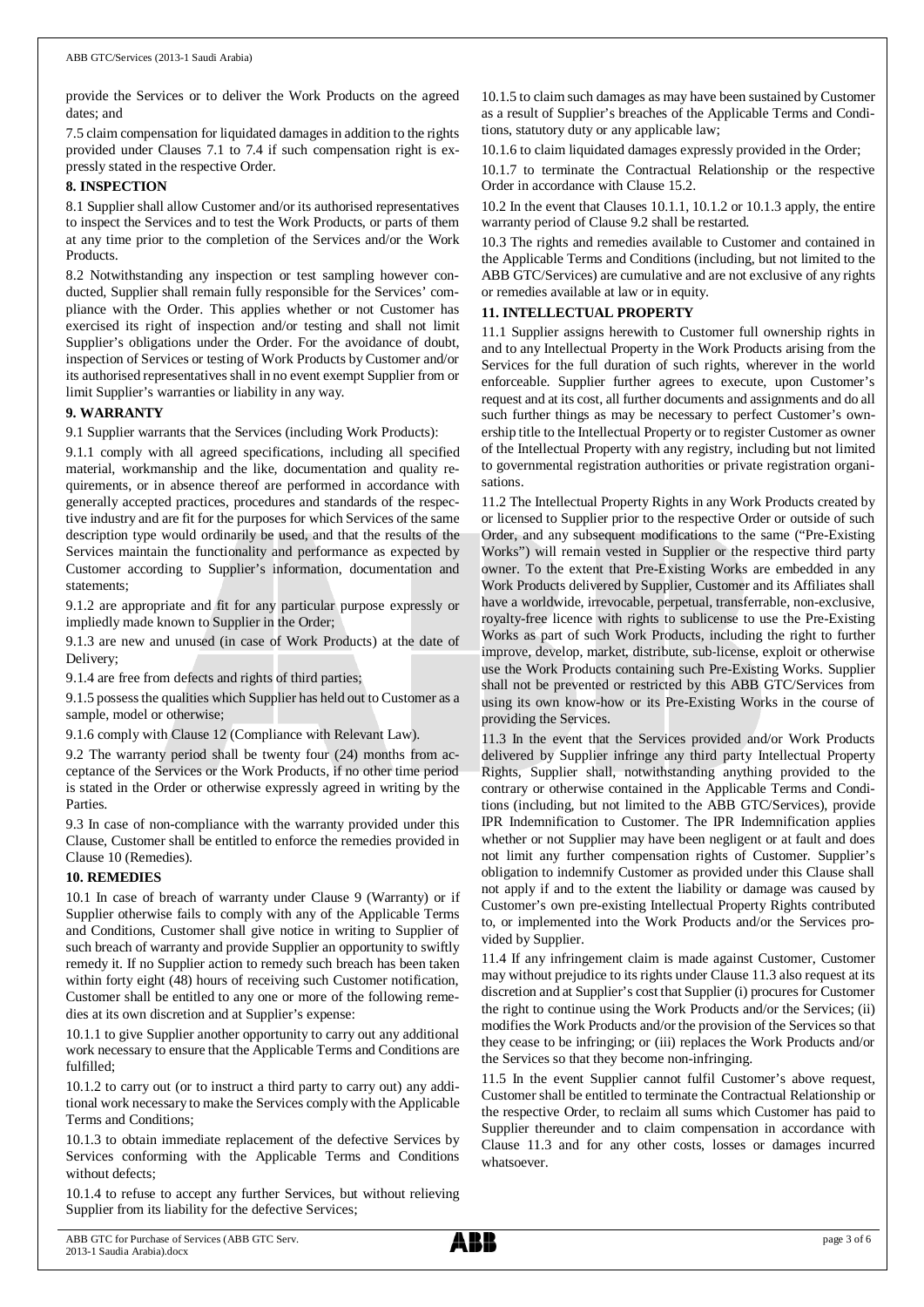provide the Services or to deliver the Work Products on the agreed dates; and

7.5 claim compensation for liquidated damages in addition to the rights provided under Clauses 7.1 to 7.4 if such compensation right is expressly stated in the respective Order.

#### **8. INSPECTION**

8.1 Supplier shall allow Customer and/or its authorised representatives to inspect the Services and to test the Work Products, or parts of them at any time prior to the completion of the Services and/or the Work Products.

8.2 Notwithstanding any inspection or test sampling however conducted, Supplier shall remain fully responsible for the Services' compliance with the Order. This applies whether or not Customer has exercised its right of inspection and/or testing and shall not limit Supplier's obligations under the Order. For the avoidance of doubt, inspection of Services or testing of Work Products by Customer and/or its authorised representatives shall in no event exempt Supplier from or limit Supplier's warranties or liability in any way.

#### **9. WARRANTY**

9.1 Supplier warrants that the Services (including Work Products):

9.1.1 comply with all agreed specifications, including all specified material, workmanship and the like, documentation and quality requirements, or in absence thereof are performed in accordance with generally accepted practices, procedures and standards of the respective industry and are fit for the purposes for which Services of the same description type would ordinarily be used, and that the results of the Services maintain the functionality and performance as expected by Customer according to Supplier's information, documentation and statements;

9.1.2 are appropriate and fit for any particular purpose expressly or impliedly made known to Supplier in the Order;

9.1.3 are new and unused (in case of Work Products) at the date of Delivery;

9.1.4 are free from defects and rights of third parties;

9.1.5 possess the qualities which Supplier has held out to Customer as a sample, model or otherwise;

9.1.6 comply with Clause 12 (Compliance with Relevant Law).

9.2 The warranty period shall be twenty four (24) months from acceptance of the Services or the Work Products, if no other time period is stated in the Order or otherwise expressly agreed in writing by the Parties.

9.3 In case of non-compliance with the warranty provided under this Clause, Customer shall be entitled to enforce the remedies provided in Clause 10 (Remedies).

#### **10. REMEDIES**

10.1 In case of breach of warranty under Clause 9 (Warranty) or if Supplier otherwise fails to comply with any of the Applicable Terms and Conditions, Customer shall give notice in writing to Supplier of such breach of warranty and provide Supplier an opportunity to swiftly remedy it. If no Supplier action to remedy such breach has been taken within forty eight (48) hours of receiving such Customer notification, Customer shall be entitled to any one or more of the following remedies at its own discretion and at Supplier's expense:

10.1.1 to give Supplier another opportunity to carry out any additional work necessary to ensure that the Applicable Terms and Conditions are fulfilled;

10.1.2 to carry out (or to instruct a third party to carry out) any additional work necessary to make the Services comply with the Applicable Terms and Conditions;

10.1.3 to obtain immediate replacement of the defective Services by Services conforming with the Applicable Terms and Conditions without defects;

10.1.4 to refuse to accept any further Services, but without relieving Supplier from its liability for the defective Services;

10.1.5 to claim such damages as may have been sustained by Customer as a result of Supplier's breaches of the Applicable Terms and Conditions, statutory duty or any applicable law;

10.1.6 to claim liquidated damages expressly provided in the Order;

10.1.7 to terminate the Contractual Relationship or the respective Order in accordance with Clause 15.2.

10.2 In the event that Clauses 10.1.1, 10.1.2 or 10.1.3 apply, the entire warranty period of Clause 9.2 shall be restarted.

10.3 The rights and remedies available to Customer and contained in the Applicable Terms and Conditions (including, but not limited to the ABB GTC/Services) are cumulative and are not exclusive of any rights or remedies available at law or in equity.

### **11. INTELLECTUAL PROPERTY**

11.1 Supplier assigns herewith to Customer full ownership rights in and to any Intellectual Property in the Work Products arising from the Services for the full duration of such rights, wherever in the world enforceable. Supplier further agrees to execute, upon Customer's request and at its cost, all further documents and assignments and do all such further things as may be necessary to perfect Customer's ownership title to the Intellectual Property or to register Customer as owner of the Intellectual Property with any registry, including but not limited to governmental registration authorities or private registration organisations.

11.2 The Intellectual Property Rights in any Work Products created by or licensed to Supplier prior to the respective Order or outside of such Order, and any subsequent modifications to the same ("Pre-Existing Works") will remain vested in Supplier or the respective third party owner. To the extent that Pre-Existing Works are embedded in any Work Products delivered by Supplier, Customer and its Affiliates shall have a worldwide, irrevocable, perpetual, transferrable, non-exclusive, royalty-free licence with rights to sublicense to use the Pre-Existing Works as part of such Work Products, including the right to further improve, develop, market, distribute, sub-license, exploit or otherwise use the Work Products containing such Pre-Existing Works. Supplier shall not be prevented or restricted by this ABB GTC/Services from using its own know-how or its Pre-Existing Works in the course of providing the Services.

11.3 In the event that the Services provided and/or Work Products delivered by Supplier infringe any third party Intellectual Property Rights, Supplier shall, notwithstanding anything provided to the contrary or otherwise contained in the Applicable Terms and Conditions (including, but not limited to the ABB GTC/Services), provide IPR Indemnification to Customer. The IPR Indemnification applies whether or not Supplier may have been negligent or at fault and does not limit any further compensation rights of Customer. Supplier's obligation to indemnify Customer as provided under this Clause shall not apply if and to the extent the liability or damage was caused by Customer's own pre-existing Intellectual Property Rights contributed to, or implemented into the Work Products and/or the Services provided by Supplier.

11.4 If any infringement claim is made against Customer, Customer may without prejudice to its rights under Clause 11.3 also request at its discretion and at Supplier's cost that Supplier (i) procures for Customer the right to continue using the Work Products and/or the Services; (ii) modifies the Work Products and/or the provision of the Services so that they cease to be infringing; or (iii) replaces the Work Products and/or the Services so that they become non-infringing.

11.5 In the event Supplier cannot fulfil Customer's above request, Customer shall be entitled to terminate the Contractual Relationship or the respective Order, to reclaim all sums which Customer has paid to Supplier thereunder and to claim compensation in accordance with Clause 11.3 and for any other costs, losses or damages incurred whatsoever.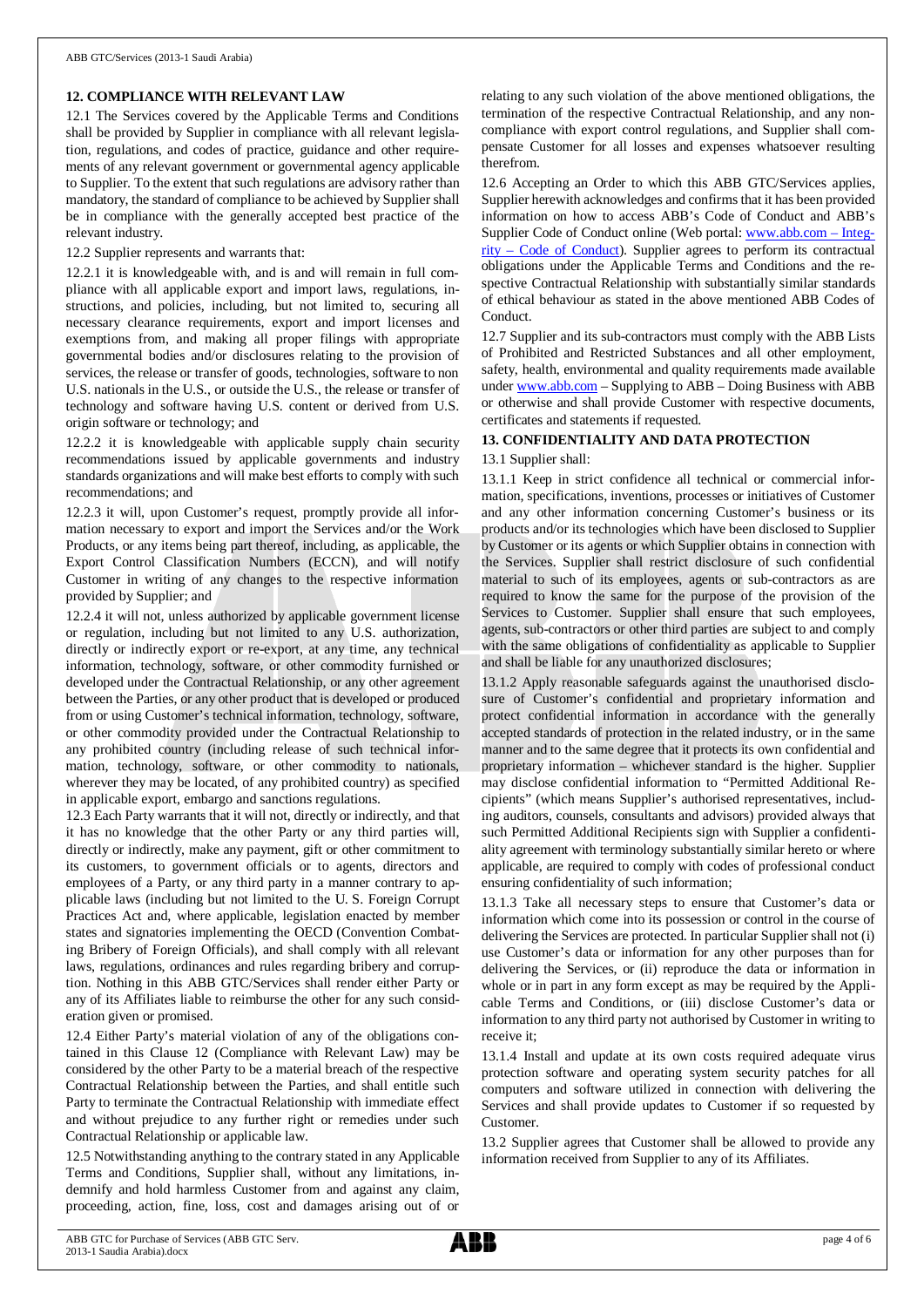## **12. COMPLIANCE WITH RELEVANT LAW**

12.1 The Services covered by the Applicable Terms and Conditions shall be provided by Supplier in compliance with all relevant legislation, regulations, and codes of practice, guidance and other requirements of any relevant government or governmental agency applicable to Supplier. To the extent that such regulations are advisory rather than mandatory, the standard of compliance to be achieved by Supplier shall be in compliance with the generally accepted best practice of the relevant industry.

12.2 Supplier represents and warrants that:

12.2.1 it is knowledgeable with, and is and will remain in full compliance with all applicable export and import laws, regulations, instructions, and policies, including, but not limited to, securing all necessary clearance requirements, export and import licenses and exemptions from, and making all proper filings with appropriate governmental bodies and/or disclosures relating to the provision of services, the release or transfer of goods, technologies, software to non U.S. nationals in the U.S., or outside the U.S., the release or transfer of technology and software having U.S. content or derived from U.S. origin software or technology; and

12.2.2 it is knowledgeable with applicable supply chain security recommendations issued by applicable governments and industry standards organizations and will make best efforts to comply with such recommendations; and

12.2.3 it will, upon Customer's request, promptly provide all information necessary to export and import the Services and/or the Work Products, or any items being part thereof, including, as applicable, the Export Control Classification Numbers (ECCN), and will notify Customer in writing of any changes to the respective information provided by Supplier; and

12.2.4 it will not, unless authorized by applicable government license or regulation, including but not limited to any U.S. authorization, directly or indirectly export or re-export, at any time, any technical information, technology, software, or other commodity furnished or developed under the Contractual Relationship, or any other agreement between the Parties, or any other product that is developed or produced from or using Customer's technical information, technology, software, or other commodity provided under the Contractual Relationship to any prohibited country (including release of such technical information, technology, software, or other commodity to nationals, wherever they may be located, of any prohibited country) as specified in applicable export, embargo and sanctions regulations.

12.3 Each Party warrants that it will not, directly or indirectly, and that it has no knowledge that the other Party or any third parties will, directly or indirectly, make any payment, gift or other commitment to its customers, to government officials or to agents, directors and employees of a Party, or any third party in a manner contrary to applicable laws (including but not limited to the U. S. Foreign Corrupt Practices Act and, where applicable, legislation enacted by member states and signatories implementing the OECD (Convention Combating Bribery of Foreign Officials), and shall comply with all relevant laws, regulations, ordinances and rules regarding bribery and corruption. Nothing in this ABB GTC/Services shall render either Party or any of its Affiliates liable to reimburse the other for any such consideration given or promised.

12.4 Either Party's material violation of any of the obligations contained in this Clause 12 (Compliance with Relevant Law) may be considered by the other Party to be a material breach of the respective Contractual Relationship between the Parties, and shall entitle such Party to terminate the Contractual Relationship with immediate effect and without prejudice to any further right or remedies under such Contractual Relationship or applicable law.

12.5 Notwithstanding anything to the contrary stated in any Applicable Terms and Conditions, Supplier shall, without any limitations, indemnify and hold harmless Customer from and against any claim, proceeding, action, fine, loss, cost and damages arising out of or

relating to any such violation of the above mentioned obligations, the termination of the respective Contractual Relationship, and any noncompliance with export control regulations, and Supplier shall compensate Customer for all losses and expenses whatsoever resulting therefrom.

12.6 Accepting an Order to which this ABB GTC/Services applies, Supplier herewith acknowledges and confirms that it has been provided information on how to access ABB's Code of Conduct and ABB's Supplier Code of Conduct online (Web portal: [www.abb.com](http://www.abb.com/) – Integrity – Code of Conduct). Supplier agrees to perform its contractual obligations under the Applicable Terms and Conditions and the respective Contractual Relationship with substantially similar standards of ethical behaviour as stated in the above mentioned ABB Codes of Conduct.

12.7 Supplier and its sub-contractors must comply with the ABB Lists of Prohibited and Restricted Substances and all other employment, safety, health, environmental and quality requirements made available under [www.abb.com](http://www.abb.com/) – Supplying to ABB – Doing Business with ABB or otherwise and shall provide Customer with respective documents, certificates and statements if requested.

## **13. CONFIDENTIALITY AND DATA PROTECTION**

## 13.1 Supplier shall:

13.1.1 Keep in strict confidence all technical or commercial information, specifications, inventions, processes or initiatives of Customer and any other information concerning Customer's business or its products and/or its technologies which have been disclosed to Supplier by Customer or its agents or which Supplier obtains in connection with the Services. Supplier shall restrict disclosure of such confidential material to such of its employees, agents or sub-contractors as are required to know the same for the purpose of the provision of the Services to Customer. Supplier shall ensure that such employees, agents, sub-contractors or other third parties are subject to and comply with the same obligations of confidentiality as applicable to Supplier and shall be liable for any unauthorized disclosures;

13.1.2 Apply reasonable safeguards against the unauthorised disclosure of Customer's confidential and proprietary information and protect confidential information in accordance with the generally accepted standards of protection in the related industry, or in the same manner and to the same degree that it protects its own confidential and proprietary information – whichever standard is the higher. Supplier may disclose confidential information to "Permitted Additional Recipients" (which means Supplier's authorised representatives, including auditors, counsels, consultants and advisors) provided always that such Permitted Additional Recipients sign with Supplier a confidentiality agreement with terminology substantially similar hereto or where applicable, are required to comply with codes of professional conduct ensuring confidentiality of such information;

13.1.3 Take all necessary steps to ensure that Customer's data or information which come into its possession or control in the course of delivering the Services are protected. In particular Supplier shall not (i) use Customer's data or information for any other purposes than for delivering the Services, or (ii) reproduce the data or information in whole or in part in any form except as may be required by the Applicable Terms and Conditions, or (iii) disclose Customer's data or information to any third party not authorised by Customer in writing to receive it;

13.1.4 Install and update at its own costs required adequate virus protection software and operating system security patches for all computers and software utilized in connection with delivering the Services and shall provide updates to Customer if so requested by Customer.

13.2 Supplier agrees that Customer shall be allowed to provide any information received from Supplier to any of its Affiliates.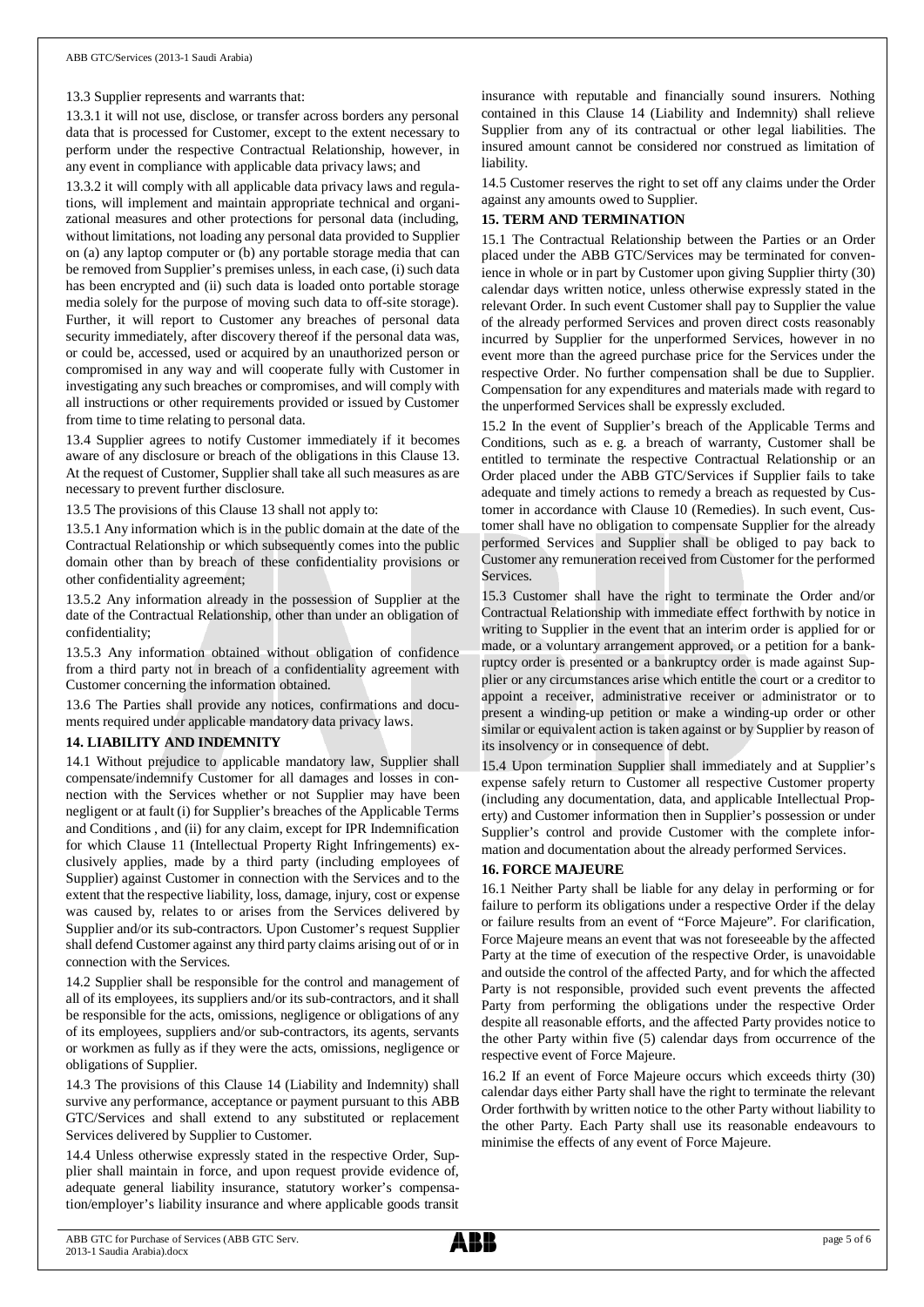#### 13.3 Supplier represents and warrants that:

13.3.1 it will not use, disclose, or transfer across borders any personal data that is processed for Customer, except to the extent necessary to perform under the respective Contractual Relationship, however, in any event in compliance with applicable data privacy laws; and

13.3.2 it will comply with all applicable data privacy laws and regulations, will implement and maintain appropriate technical and organizational measures and other protections for personal data (including, without limitations, not loading any personal data provided to Supplier on (a) any laptop computer or (b) any portable storage media that can be removed from Supplier's premises unless, in each case, (i) such data has been encrypted and (ii) such data is loaded onto portable storage media solely for the purpose of moving such data to off-site storage). Further, it will report to Customer any breaches of personal data security immediately, after discovery thereof if the personal data was, or could be, accessed, used or acquired by an unauthorized person or compromised in any way and will cooperate fully with Customer in investigating any such breaches or compromises, and will comply with all instructions or other requirements provided or issued by Customer from time to time relating to personal data.

13.4 Supplier agrees to notify Customer immediately if it becomes aware of any disclosure or breach of the obligations in this Clause 13. At the request of Customer, Supplier shall take all such measures as are necessary to prevent further disclosure.

13.5 The provisions of this Clause 13 shall not apply to:

13.5.1 Any information which is in the public domain at the date of the Contractual Relationship or which subsequently comes into the public domain other than by breach of these confidentiality provisions or other confidentiality agreement;

13.5.2 Any information already in the possession of Supplier at the date of the Contractual Relationship, other than under an obligation of confidentiality;

13.5.3 Any information obtained without obligation of confidence from a third party not in breach of a confidentiality agreement with Customer concerning the information obtained.

13.6 The Parties shall provide any notices, confirmations and documents required under applicable mandatory data privacy laws.

#### **14. LIABILITY AND INDEMNITY**

14.1 Without prejudice to applicable mandatory law, Supplier shall compensate/indemnify Customer for all damages and losses in connection with the Services whether or not Supplier may have been negligent or at fault (i) for Supplier's breaches of the Applicable Terms and Conditions , and (ii) for any claim, except for IPR Indemnification for which Clause 11 (Intellectual Property Right Infringements) exclusively applies, made by a third party (including employees of Supplier) against Customer in connection with the Services and to the extent that the respective liability, loss, damage, injury, cost or expense was caused by, relates to or arises from the Services delivered by Supplier and/or its sub-contractors. Upon Customer's request Supplier shall defend Customer against any third party claims arising out of or in connection with the Services.

14.2 Supplier shall be responsible for the control and management of all of its employees, its suppliers and/or its sub-contractors, and it shall be responsible for the acts, omissions, negligence or obligations of any of its employees, suppliers and/or sub-contractors, its agents, servants or workmen as fully as if they were the acts, omissions, negligence or obligations of Supplier.

14.3 The provisions of this Clause 14 (Liability and Indemnity) shall survive any performance, acceptance or payment pursuant to this ABB GTC/Services and shall extend to any substituted or replacement Services delivered by Supplier to Customer.

14.4 Unless otherwise expressly stated in the respective Order, Supplier shall maintain in force, and upon request provide evidence of, adequate general liability insurance, statutory worker's compensation/employer's liability insurance and where applicable goods transit

insurance with reputable and financially sound insurers. Nothing contained in this Clause 14 (Liability and Indemnity) shall relieve Supplier from any of its contractual or other legal liabilities. The insured amount cannot be considered nor construed as limitation of liability.

14.5 Customer reserves the right to set off any claims under the Order against any amounts owed to Supplier.

## **15. TERM AND TERMINATION**

15.1 The Contractual Relationship between the Parties or an Order placed under the ABB GTC/Services may be terminated for convenience in whole or in part by Customer upon giving Supplier thirty (30) calendar days written notice, unless otherwise expressly stated in the relevant Order. In such event Customer shall pay to Supplier the value of the already performed Services and proven direct costs reasonably incurred by Supplier for the unperformed Services, however in no event more than the agreed purchase price for the Services under the respective Order. No further compensation shall be due to Supplier. Compensation for any expenditures and materials made with regard to the unperformed Services shall be expressly excluded.

15.2 In the event of Supplier's breach of the Applicable Terms and Conditions, such as e. g. a breach of warranty, Customer shall be entitled to terminate the respective Contractual Relationship or an Order placed under the ABB GTC/Services if Supplier fails to take adequate and timely actions to remedy a breach as requested by Customer in accordance with Clause 10 (Remedies). In such event, Customer shall have no obligation to compensate Supplier for the already performed Services and Supplier shall be obliged to pay back to Customer any remuneration received from Customer for the performed **Services** 

15.3 Customer shall have the right to terminate the Order and/or Contractual Relationship with immediate effect forthwith by notice in writing to Supplier in the event that an interim order is applied for or made, or a voluntary arrangement approved, or a petition for a bankruptcy order is presented or a bankruptcy order is made against Supplier or any circumstances arise which entitle the court or a creditor to appoint a receiver, administrative receiver or administrator or to present a winding-up petition or make a winding-up order or other similar or equivalent action is taken against or by Supplier by reason of its insolvency or in consequence of debt.

15.4 Upon termination Supplier shall immediately and at Supplier's expense safely return to Customer all respective Customer property (including any documentation, data, and applicable Intellectual Property) and Customer information then in Supplier's possession or under Supplier's control and provide Customer with the complete information and documentation about the already performed Services.

#### **16. FORCE MAJEURE**

16.1 Neither Party shall be liable for any delay in performing or for failure to perform its obligations under a respective Order if the delay or failure results from an event of "Force Majeure". For clarification, Force Majeure means an event that was not foreseeable by the affected Party at the time of execution of the respective Order, is unavoidable and outside the control of the affected Party, and for which the affected Party is not responsible, provided such event prevents the affected Party from performing the obligations under the respective Order despite all reasonable efforts, and the affected Party provides notice to the other Party within five (5) calendar days from occurrence of the respective event of Force Majeure.

16.2 If an event of Force Majeure occurs which exceeds thirty (30) calendar days either Party shall have the right to terminate the relevant Order forthwith by written notice to the other Party without liability to the other Party. Each Party shall use its reasonable endeavours to minimise the effects of any event of Force Majeure.